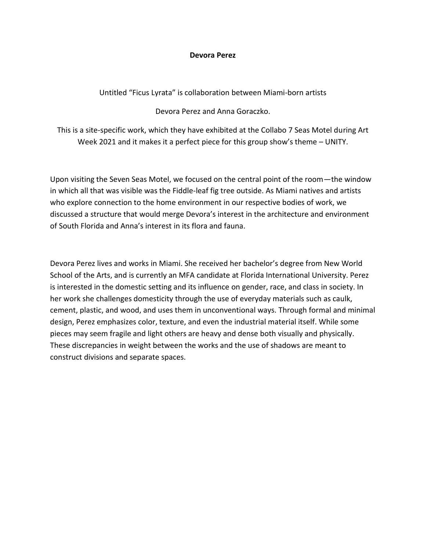## **Devora Perez**

Untitled "Ficus Lyrata" is collaboration between Miami-born artists

Devora Perez and Anna Goraczko.

This is a site-specific work, which they have exhibited at the Collabo 7 Seas Motel during Art Week 2021 and it makes it a perfect piece for this group show's theme – UNITY.

Upon visiting the Seven Seas Motel, we focused on the central point of the room—the window in which all that was visible was the Fiddle-leaf fig tree outside. As Miami natives and artists who explore connection to the home environment in our respective bodies of work, we discussed a structure that would merge Devora's interest in the architecture and environment of South Florida and Anna's interest in its flora and fauna.

Devora Perez lives and works in Miami. She received her bachelor's degree from New World School of the Arts, and is currently an MFA candidate at Florida International University. Perez is interested in the domestic setting and its influence on gender, race, and class in society. In her work she challenges domesticity through the use of everyday materials such as caulk, cement, plastic, and wood, and uses them in unconventional ways. Through formal and minimal design, Perez emphasizes color, texture, and even the industrial material itself. While some pieces may seem fragile and light others are heavy and dense both visually and physically. These discrepancies in weight between the works and the use of shadows are meant to construct divisions and separate spaces.